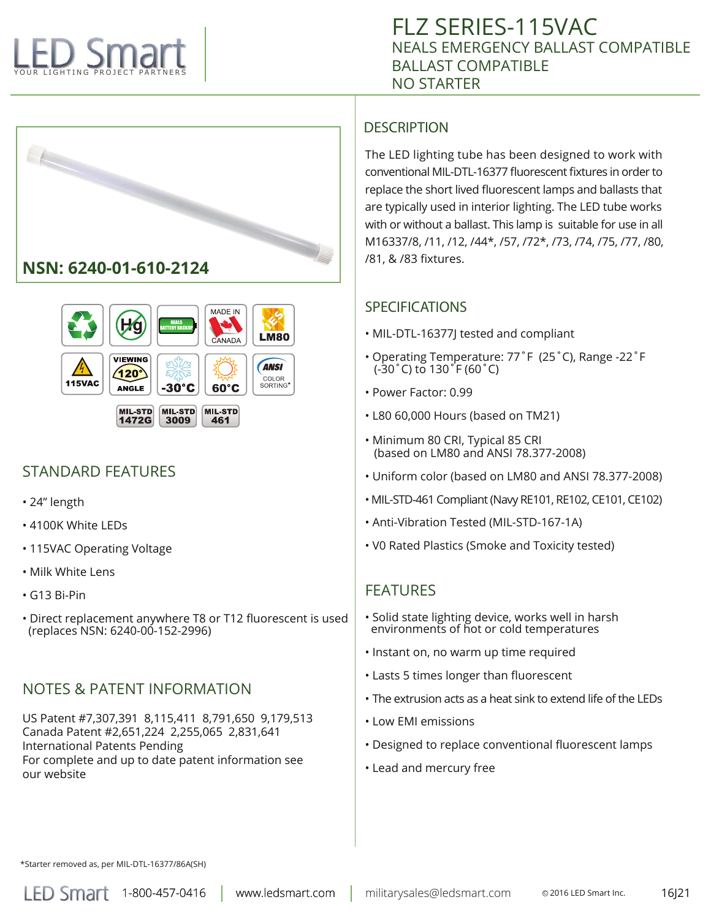





# STANDARD FEATURES

- 24" length
- 4100K White LEDs
- 115VAC Operating Voltage
- Milk White Lens
- G13 Bi-Pin
- Direct replacement anywhere T8 or T12 fluorescent is used (replaces NSN: 6240-00-152-2996)

## NOTES & PATENT INFORMATION

US Patent #7,307,391 8,115,411 8,791,650 9,179,513 Canada Patent #2,651,224 2,255,065 2,831,641 International Patents Pending For complete and up to date patent information see our website

#### **DESCRIPTION**

The LED lighting tube has been designed to work with conventional MIL-DTL-16377 fluorescent fixtures in order to replace the short lived fluorescent lamps and ballasts that are typically used in interior lighting. The LED tube works with or without a ballast. This lamp is suitable for use in all M16337/8, /11, /12, /44\*, /57, /72\*, /73, /74, /75, /77, /80, /81, & /83 fixtures.

#### SPECIFICATIONS

- MIL-DTL-16377J tested and compliant
- Operating Temperature: 77˚F (25˚C), Range -22˚F (-30˚C) to 130˚F (60˚C)
- Power Factor: 0.99
- L80 60,000 Hours (based on TM21)
- Minimum 80 CRI, Typical 85 CRI (based on LM80 and ANSI 78.377-2008)
- Uniform color (based on LM80 and ANSI 78.377-2008)
- MIL-STD-461 Compliant (Navy RE101, RE102, CE101, CE102)
- Anti-Vibration Tested (MIL-STD-167-1A)
- V0 Rated Plastics (Smoke and Toxicity tested)

### FEATURES

- Solid state lighting device, works well in harsh environments of hot or cold temperatures
- Instant on, no warm up time required
- Lasts 5 times longer than fluorescent
- The extrusion acts as a heat sink to extend life of the LEDs
- Low EMI emissions
- Designed to replace conventional fluorescent lamps
- Lead and mercury free

\*Starter removed as, per MIL-DTL-16377/86A(SH)

LED Smart 1-800-457-0416 | www.ledsmart.com | militarysales@ledsmart.com © 2016 LED Smart Inc.

www.ledsmart.com

16J21